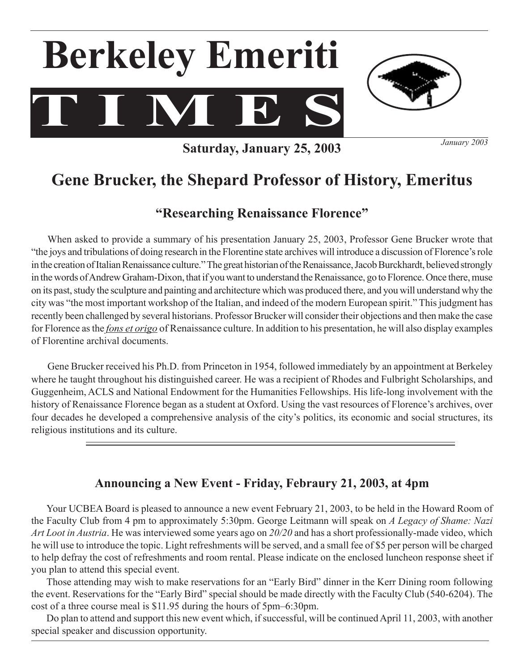



**Saturday, January 25, 2003**

*January 2003*

# **Gene Brucker, the Shepard Professor of History, Emeritus**

### **"Researching Renaissance Florence"**

 When asked to provide a summary of his presentation January 25, 2003, Professor Gene Brucker wrote that "the joys and tribulations of doing research in the Florentine state archives will introduce a discussion of Florence'srole in the creation of Italian Renaissance culture." The great historian of the Renaissance, Jacob Burckhardt, believed strongly in the words of Andrew Graham-Dixon, that if you want to understand the Renaissance, go to Florence. Once there, muse on its past, study the sculpture and painting and architecture which was produced there, and you will understand why the city was "the most important workshop of the Italian, and indeed of the modern European spirit." This judgment has recently been challenged by several historians. Professor Brucker will consider their objections and then make the case for Florence asthe *fons et origo* of Renaissance culture. In addition to his presentation, he will also display examples of Florentine archival documents.

 Gene Brucker received his Ph.D. from Princeton in 1954, followed immediately by an appointment at Berkeley where he taught throughout his distinguished career. He was a recipient of Rhodes and Fulbright Scholarships, and Guggenheim, ACLS and National Endowment for the Humanities Fellowships. His life-long involvement with the history of Renaissance Florence began as a student at Oxford. Using the vast resources of Florence's archives, over four decades he developed a comprehensive analysis of the city's politics, its economic and social structures, its religious institutions and its culture.

### **Announcing a New Event - Friday, Febraury 21, 2003, at 4pm**

 Your UCBEA Board is pleased to announce a new event February 21, 2003, to be held in the Howard Room of the Faculty Club from 4 pm to approximately 5:30pm. George Leitmann will speak on *A Legacy of Shame: Nazi Art Loot in Austria*. He was interviewed some years ago on *20/20* and has a short professionally-made video, which he will use to introduce the topic. Light refreshments will be served, and a small fee of \$5 per person will be charged to help defray the cost of refreshments and room rental. Please indicate on the enclosed luncheon response sheet if you plan to attend this special event.

 Those attending may wish to make reservations for an "Early Bird" dinner in the Kerr Dining room following the event. Reservations for the "Early Bird" special should be made directly with the Faculty Club (540-6204). The cost of a three course meal is \$11.95 during the hours of 5pm–6:30pm.

Do plan to attend and support this new event which, if successful, will be continued April 11, 2003, with another special speaker and discussion opportunity.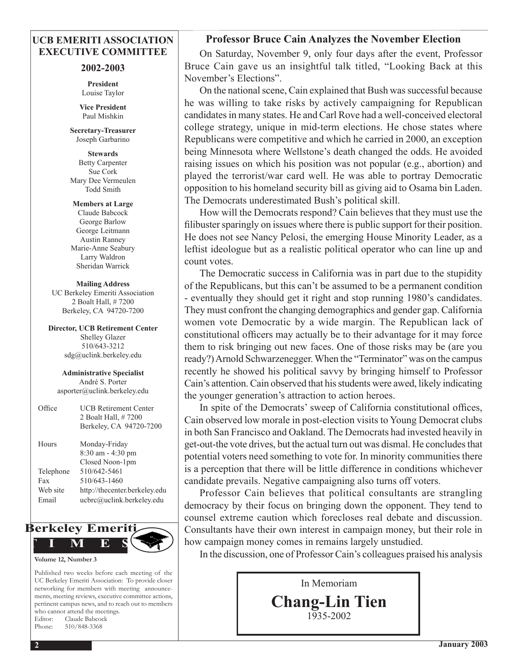#### **UCB EMERITI ASSOCIATION EXECUTIVE COMMITTEE**

#### **2002-2003**

**President** Louise Taylor

**Vice President** Paul Mishkin

**Secretary-Treasurer**  Joseph Garbarino

**Stewards** Betty Carpenter Sue Cork Mary Dee Vermeulen Todd Smith

**Members at Large** Claude Babcock George Barlow George Leitmann Austin Ranney Marie-Anne Seabury Larry Waldron Sheridan Warrick

**Mailing Address** UC Berkeley Emeriti Association 2 Boalt Hall, # 7200 Berkeley, CA 94720-7200

**Director, UCB Retirement Center** Shelley Glazer 510/643-3212 sdg@uclink.berkeley.edu

**Administrative Specialist** André S. Porter asporter@uclink.berkeley.edu

| Office    | <b>UCB Retirement Center</b><br>2 Boalt Hall, #7200<br>Berkeley, CA 94720-7200 |
|-----------|--------------------------------------------------------------------------------|
| Hours     | Monday-Friday<br>$8:30$ am $-4:30$ pm<br>Closed Noon-1pm                       |
| Telephone | 510/642-5461                                                                   |
| Fax       | 510/643-1460                                                                   |
| Web site  | http://thecenter.berkeley.edu                                                  |
| Email     | ucbrc@uclink.berkeley.edu                                                      |
|           |                                                                                |



**Volume 12, Number 3**

Published two weeks before each meeting of the UC Berkeley Emeriti Association: To provide closer networking for members with meeting announcements, meeting reviews, executive committee actions, pertinent campus news, and to reach out to members who cannot attend the meetings. Editor: Claude Babcock Phone: 510/848-3368

#### **Professor Bruce Cain Analyzes the November Election**

 On Saturday, November 9, only four days after the event, Professor Bruce Cain gave us an insightful talk titled, "Looking Back at this November's Elections".

On the national scene, Cain explained that Bush was successful because he was willing to take risks by actively campaigning for Republican candidatesin many states. He and Carl Rove had a well-conceived electoral college strategy, unique in mid-term elections. He chose states where Republicans were competitive and which he carried in 2000, an exception being Minnesota where Wellstone's death changed the odds. He avoided raising issues on which his position was not popular (e.g., abortion) and played the terrorist/war card well. He was able to portray Democratic opposition to his homeland security bill as giving aid to Osama bin Laden. The Democrats underestimated Bush's political skill.

 How will the Democrats respond? Cain believes that they must use the filibuster sparingly on issues where there is public support for their position. He does not see Nancy Pelosi, the emerging House Minority Leader, as a leftist ideologue but as a realistic political operator who can line up and count votes.

 The Democratic success in California was in part due to the stupidity of the Republicans, but this can't be assumed to be a permanent condition - eventually they should get it right and stop running 1980's candidates. They must confront the changing demographics and gender gap. California women vote Democratic by a wide margin. The Republican lack of constitutional officers may actually be to their advantage for it may force them to risk bringing out new faces. One of those risks may be (are you ready?)Arnold Schwarzenegger.When the "Terminator" was on the campus recently he showed his political savvy by bringing himself to Professor Cain's attention. Cain observed that hisstudents were awed, likely indicating the younger generation's attraction to action heroes.

 In spite of the Democrats' sweep of California constitutional offices, Cain observed low morale in post-election visits to Young Democrat clubs in both San Francisco and Oakland. The Democrats had invested heavily in get-out-the vote drives, but the actual turn out was dismal. He concludes that potential voters need something to vote for. In minority communities there is a perception that there will be little difference in conditions whichever candidate prevails. Negative campaigning also turns off voters.

 Professor Cain believes that political consultants are strangling democracy by their focus on bringing down the opponent. They tend to counsel extreme caution which forecloses real debate and discussion. Consultants have their own interest in campaign money, but their role in how campaign money comes in remains largely unstudied.

 In the discussion, one of Professor Cain's colleagues praised his analysis

In Memoriam **Chang-Lin Tien** 1935-2002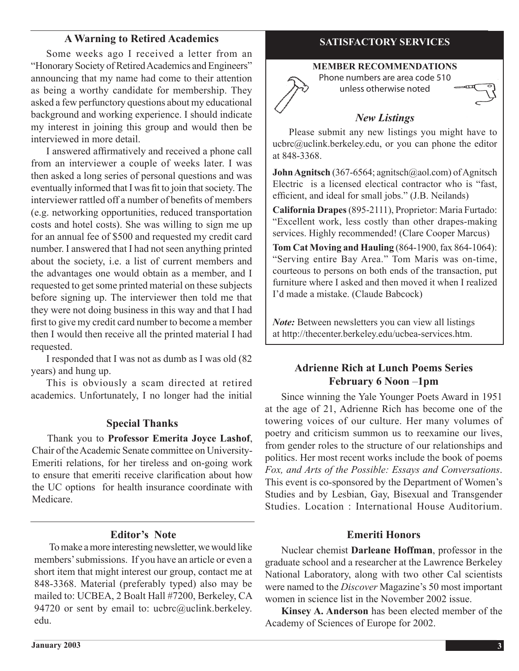### **A Warning to Retired Academics**

 Some weeks ago I received a letter from an "Honorary Society of Retired Academics and Engineers" announcing that my name had come to their attention as being a worthy candidate for membership. They asked a few perfunctory questions about my educational background and working experience. I should indicate my interest in joining this group and would then be interviewed in more detail.

 I answered affirmatively and received a phone call from an interviewer a couple of weeks later. I was then asked a long series of personal questions and was eventually informed that I was fit to join that society. The interviewer rattled off a number of benefits of members (e.g. networking opportunities, reduced transportation costs and hotel costs). She was willing to sign me up for an annual fee of \$500 and requested my credit card number. I answered that I had not seen anything printed about the society, i.e. a list of current members and the advantages one would obtain as a member, and I requested to get some printed material on these subjects before signing up. The interviewer then told me that they were not doing business in this way and that I had first to give my credit card number to become a member then I would then receive all the printed material I had requested.

 I responded that I was not as dumb as I was old (82 years) and hung up.

 This is obviously a scam directed at retired academics. Unfortunately, I no longer had the initial

#### **Special Thanks**

 Thank you to **Professor Emerita Joyce Lashof**, Chair of the Academic Senate committee on University-Emeriti relations, for her tireless and on-going work to ensure that emeriti receive clarification about how the UC options for health insurance coordinate with Medicare.

#### **Editor's Note**

To make a more interesting newsletter, we would like members'submissions. If you have an article or even a short item that might interest our group, contact me at 848-3368. Material (preferably typed) also may be mailed to: UCBEA, 2 Boalt Hall #7200, Berkeley, CA 94720 or sent by email to: ucbrc@uclink.berkeley. edu.

### **SATISFACTORY SERVICES**

#### **MEMBER RECOMMENDATIONS**

Phone numbers are area code 510 unless otherwise noted

#### *New Listings*

Please submit any new listings you might have to ucbrc@uclink.berkeley.edu, or you can phone the editor at 848-3368.

**John Agnitsch** (367-6564; agnitsch@aol.com) of Agnitsch Electric is a licensed electical contractor who is "fast, efficient, and ideal for small jobs." (J.B. Neilands)

**California Drapes**(895-2111), Proprietor: Maria Furtado: "Excellent work, less costly than other drapes-making services. Highly recommended! (Clare Cooper Marcus)

**Tom Cat Moving and Hauling** (864-1900, fax 864-1064): "Serving entire Bay Area." Tom Maris was on-time, courteous to persons on both ends of the transaction, put furniture where I asked and then moved it when I realized I'd made a mistake. (Claude Babcock)

*Note:* Between newsletters you can view all listings at http://thecenter.berkeley.edu/ucbea-services.htm.

#### **Adrienne Rich at Lunch Poems Series February 6 Noon** –**1pm**

 Since winning the Yale Younger Poets Award in 1951 at the age of 21, Adrienne Rich has become one of the towering voices of our culture. Her many volumes of poetry and criticism summon us to reexamine our lives, from gender roles to the structure of our relationships and politics. Her most recent works include the book of poems *Fox, and Arts of the Possible: Essays and Conversations*. This event is co-sponsored by the Department of Women's Studies and by Lesbian, Gay, Bisexual and Transgender Studies. Location : International House Auditorium.

#### **Emeriti Honors**

Nuclear chemist **Darleane Hoffman**, professor in the graduate school and a researcher at the Lawrence Berkeley National Laboratory, along with two other Cal scientists were named to the *Discover* Magazine's 50 most important women in science list in the November 2002 issue.

**Kinsey A. Anderson** has been elected member of the Academy of Sciences of Europe for 2002.